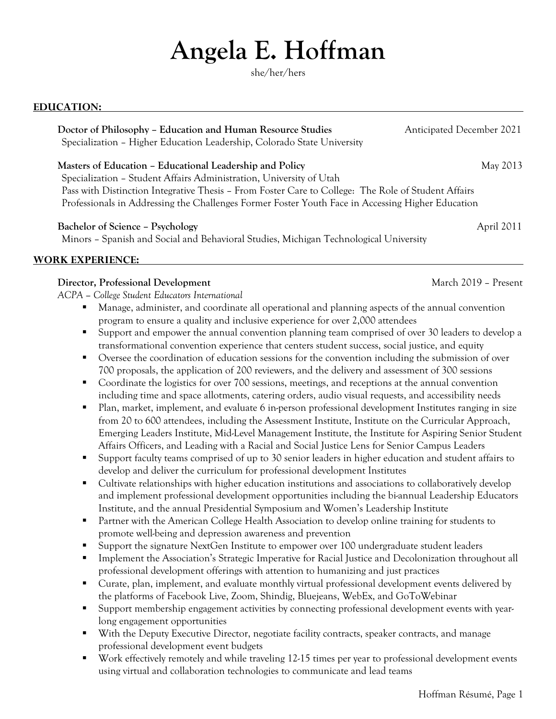# **Angela E. Hoffman**

she/her/hers

#### **EDUCATION:**

**Doctor of Philosophy – Education and Human Resource Studies <b>Anticipated December 2021** Specialization – Higher Education Leadership, Colorado State University

**Masters of Education – Educational Leadership and Policy May 2013** May 2013

Specialization – Student Affairs Administration, University of Utah Pass with Distinction Integrative Thesis – From Foster Care to College: The Role of Student Affairs Professionals in Addressing the Challenges Former Foster Youth Face in Accessing Higher Education

**Bachelor of Science – Psychology** April 2011

Minors – Spanish and Social and Behavioral Studies, Michigan Technological University

# **WORK EXPERIENCE:**

# **Director, Professional Development** March 2019 – Present

*ACPA – College Student Educators International*

- Manage, administer, and coordinate all operational and planning aspects of the annual convention program to ensure a quality and inclusive experience for over 2,000 attendees
- § Support and empower the annual convention planning team comprised of over 30 leaders to develop a transformational convention experience that centers student success, social justice, and equity
- Oversee the coordination of education sessions for the convention including the submission of over 700 proposals, the application of 200 reviewers, and the delivery and assessment of 300 sessions
- Coordinate the logistics for over 700 sessions, meetings, and receptions at the annual convention including time and space allotments, catering orders, audio visual requests, and accessibility needs
- Plan, market, implement, and evaluate 6 in-person professional development Institutes ranging in size from 20 to 600 attendees, including the Assessment Institute, Institute on the Curricular Approach, Emerging Leaders Institute, Mid-Level Management Institute, the Institute for Aspiring Senior Student Affairs Officers, and Leading with a Racial and Social Justice Lens for Senior Campus Leaders
- § Support faculty teams comprised of up to 30 senior leaders in higher education and student affairs to develop and deliver the curriculum for professional development Institutes
- Cultivate relationships with higher education institutions and associations to collaboratively develop and implement professional development opportunities including the bi-annual Leadership Educators Institute, and the annual Presidential Symposium and Women's Leadership Institute
- Partner with the American College Health Association to develop online training for students to promote well-being and depression awareness and prevention
- § Support the signature NextGen Institute to empower over 100 undergraduate student leaders
- Implement the Association's Strategic Imperative for Racial Justice and Decolonization throughout all professional development offerings with attention to humanizing and just practices
- § Curate, plan, implement, and evaluate monthly virtual professional development events delivered by the platforms of Facebook Live, Zoom, Shindig, Bluejeans, WebEx, and GoToWebinar
- § Support membership engagement activities by connecting professional development events with yearlong engagement opportunities
- With the Deputy Executive Director, negotiate facility contracts, speaker contracts, and manage professional development event budgets
- § Work effectively remotely and while traveling 12-15 times per year to professional development events using virtual and collaboration technologies to communicate and lead teams

Hoffman Résumé, Page 1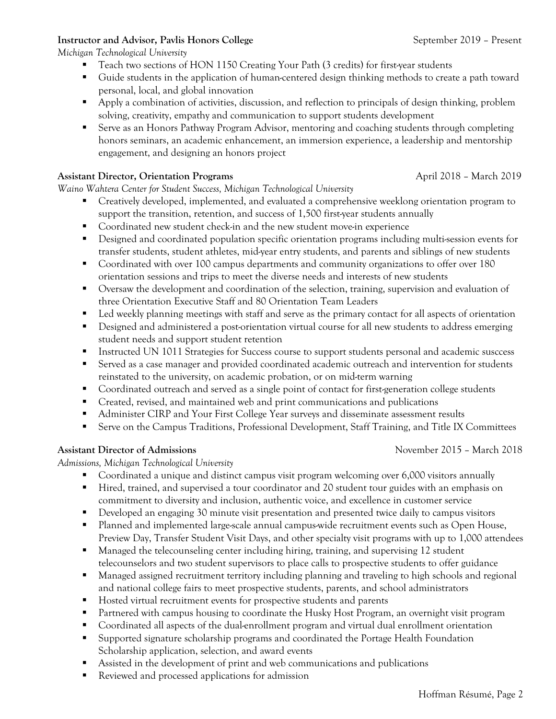# **Instructor and Advisor, Pavlis Honors College <b>September 2019** – Present

*Michigan Technological University*

- Teach two sections of HON 1150 Creating Your Path (3 credits) for first-year students
- Guide students in the application of human-centered design thinking methods to create a path toward personal, local, and global innovation
- § Apply a combination of activities, discussion, and reflection to principals of design thinking, problem solving, creativity, empathy and communication to support students development
- Serve as an Honors Pathway Program Advisor, mentoring and coaching students through completing honors seminars, an academic enhancement, an immersion experience, a leadership and mentorship engagement, and designing an honors project

## **Assistant Director, Orientation Programs**  $\qquad \qquad \text{April } 2018 - \text{March } 2019$

*Waino Wahtera Center for Student Success, Michigan Technological University*

- Creatively developed, implemented, and evaluated a comprehensive weeklong orientation program to support the transition, retention, and success of 1,500 first-year students annually
- § Coordinated new student check-in and the new student move-in experience
- Designed and coordinated population specific orientation programs including multi-session events for transfer students, student athletes, mid-year entry students, and parents and siblings of new students
- Coordinated with over 100 campus departments and community organizations to offer over 180 orientation sessions and trips to meet the diverse needs and interests of new students
- Oversaw the development and coordination of the selection, training, supervision and evaluation of three Orientation Executive Staff and 80 Orientation Team Leaders
- Led weekly planning meetings with staff and serve as the primary contact for all aspects of orientation
- Designed and administered a post-orientation virtual course for all new students to address emerging student needs and support student retention
- Instructed UN 1011 Strategies for Success course to support students personal and academic susccess
- Served as a case manager and provided coordinated academic outreach and intervention for students reinstated to the university, on academic probation, or on mid-term warning
- Coordinated outreach and served as a single point of contact for first-generation college students
- Created, revised, and maintained web and print communications and publications
- Administer CIRP and Your First College Year surveys and disseminate assessment results
- Serve on the Campus Traditions, Professional Development, Staff Training, and Title IX Committees

# **Assistant Director of Admissions** November 2015 – March 2018

*Admissions, Michigan Technological University*

- Coordinated a unique and distinct campus visit program welcoming over 6,000 visitors annually
- Hired, trained, and supervised a tour coordinator and 20 student tour guides with an emphasis on commitment to diversity and inclusion, authentic voice, and excellence in customer service
- Developed an engaging 30 minute visit presentation and presented twice daily to campus visitors
- Planned and implemented large-scale annual campus-wide recruitment events such as Open House, Preview Day, Transfer Student Visit Days, and other specialty visit programs with up to 1,000 attendees
- Managed the telecounseling center including hiring, training, and supervising 12 student telecounselors and two student supervisors to place calls to prospective students to offer guidance
- § Managed assigned recruitment territory including planning and traveling to high schools and regional and national college fairs to meet prospective students, parents, and school administrators
- Hosted virtual recruitment events for prospective students and parents
- Partnered with campus housing to coordinate the Husky Host Program, an overnight visit program
- § Coordinated all aspects of the dual-enrollment program and virtual dual enrollment orientation
- § Supported signature scholarship programs and coordinated the Portage Health Foundation Scholarship application, selection, and award events
- § Assisted in the development of print and web communications and publications
- Reviewed and processed applications for admission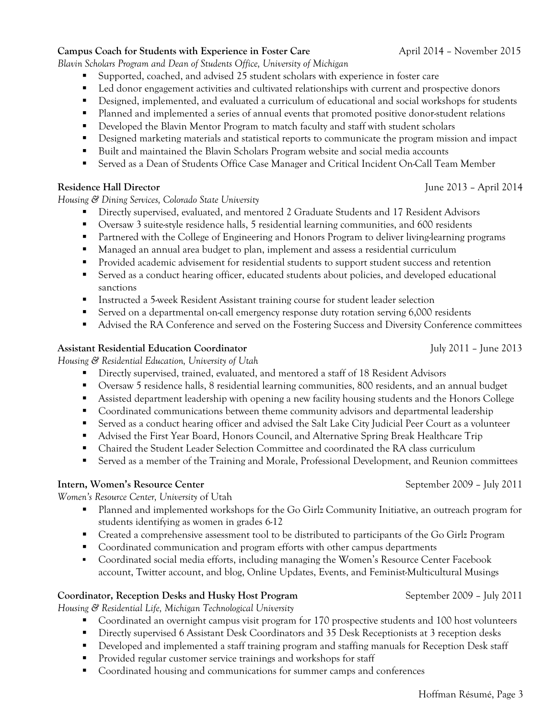Hoffman Résumé, Page 3

**Campus Coach for Students with Experience in Foster Care April 2014 – November 2015** 

*Blavin Scholars Program and Dean of Students Office, University of Michigan*

- § Supported, coached, and advised 25 student scholars with experience in foster care
- Led donor engagement activities and cultivated relationships with current and prospective donors
- Designed, implemented, and evaluated a curriculum of educational and social workshops for students
- Planned and implemented a series of annual events that promoted positive donor-student relations
- Developed the Blavin Mentor Program to match faculty and staff with student scholars
- Designed marketing materials and statistical reports to communicate the program mission and impact
- Built and maintained the Blavin Scholars Program website and social media accounts
- § Served as a Dean of Students Office Case Manager and Critical Incident On-Call Team Member

# **Residence Hall Director** June 2013 – April 2014

*Housing & Dining Services, Colorado State University*

- § Directly supervised, evaluated, and mentored 2 Graduate Students and 17 Resident Advisors
- § Oversaw 3 suite-style residence halls, 5 residential learning communities, and 600 residents
- Partnered with the College of Engineering and Honors Program to deliver living-learning programs
- Managed an annual area budget to plan, implement and assess a residential curriculum
- § Provided academic advisement for residential students to support student success and retention
- Served as a conduct hearing officer, educated students about policies, and developed educational sanctions
- Instructed a 5-week Resident Assistant training course for student leader selection
- Served on a departmental on-call emergency response duty rotation serving 6,000 residents
- Advised the RA Conference and served on the Fostering Success and Diversity Conference committees

# **Assistant Residential Education Coordinator** July 2011 – June 2013

*Housing & Residential Education, University of Utah*

- § Directly supervised, trained, evaluated, and mentored a staff of 18 Resident Advisors
- § Oversaw 5 residence halls, 8 residential learning communities, 800 residents, and an annual budget
- Assisted department leadership with opening a new facility housing students and the Honors College
- Coordinated communications between theme community advisors and departmental leadership
- Served as a conduct hearing officer and advised the Salt Lake City Judicial Peer Court as a volunteer
- Advised the First Year Board, Honors Council, and Alternative Spring Break Healthcare Trip
- Chaired the Student Leader Selection Committee and coordinated the RA class curriculum
- Served as a member of the Training and Morale, Professional Development, and Reunion committees

# **Intern, Women's Resource Center** September 2009 – July 2011

*Women's Resource Center, University* of Utah

- Planned and implemented workshops for the Go Girlz Community Initiative, an outreach program for students identifying as women in grades 6-12
- Created a comprehensive assessment tool to be distributed to participants of the Go Girlz Program
- Coordinated communication and program efforts with other campus departments
- § Coordinated social media efforts, including managing the Women's Resource Center Facebook account, Twitter account, and blog, Online Updates, Events, and Feminist-Multicultural Musings

# **Coordinator, Reception Desks and Husky Host Program September 2009 – July 2011**

*Housing & Residential Life, Michigan Technological University*

- § Coordinated an overnight campus visit program for 170 prospective students and 100 host volunteers
- Directly supervised 6 Assistant Desk Coordinators and 35 Desk Receptionists at 3 reception desks
- Developed and implemented a staff training program and staffing manuals for Reception Desk staff
- Provided regular customer service trainings and workshops for staff
- Coordinated housing and communications for summer camps and conferences